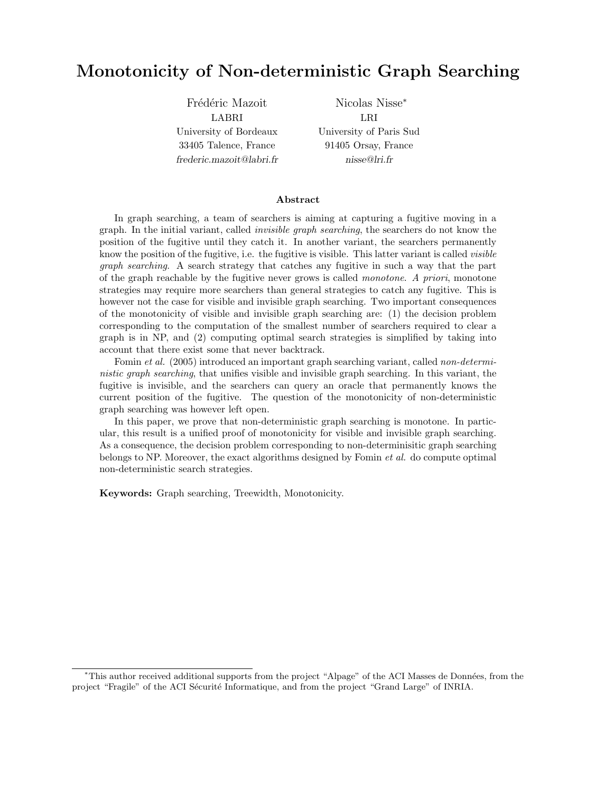# Monotonicity of Non-deterministic Graph Searching

Frédéric Mazoit LABRI University of Bordeaux 33405 Talence, France frederic.mazoit@labri.fr Nicolas Nisse<sup>∗</sup> LRI University of Paris Sud 91405 Orsay, France nisse@lri.fr

#### Abstract

In graph searching, a team of searchers is aiming at capturing a fugitive moving in a graph. In the initial variant, called invisible graph searching, the searchers do not know the position of the fugitive until they catch it. In another variant, the searchers permanently know the position of the fugitive, i.e. the fugitive is visible. This latter variant is called *visible* graph searching. A search strategy that catches any fugitive in such a way that the part of the graph reachable by the fugitive never grows is called monotone. A priori, monotone strategies may require more searchers than general strategies to catch any fugitive. This is however not the case for visible and invisible graph searching. Two important consequences of the monotonicity of visible and invisible graph searching are: (1) the decision problem corresponding to the computation of the smallest number of searchers required to clear a graph is in NP, and (2) computing optimal search strategies is simplified by taking into account that there exist some that never backtrack.

Fomin et al. (2005) introduced an important graph searching variant, called non-deterministic graph searching, that unifies visible and invisible graph searching. In this variant, the fugitive is invisible, and the searchers can query an oracle that permanently knows the current position of the fugitive. The question of the monotonicity of non-deterministic graph searching was however left open.

In this paper, we prove that non-deterministic graph searching is monotone. In particular, this result is a unified proof of monotonicity for visible and invisible graph searching. As a consequence, the decision problem corresponding to non-determinisitic graph searching belongs to NP. Moreover, the exact algorithms designed by Fomin et al. do compute optimal non-deterministic search strategies.

Keywords: Graph searching, Treewidth, Monotonicity.

<sup>∗</sup>This author received additional supports from the project "Alpage" of the ACI Masses de Donn´ees, from the project "Fragile" of the ACI Sécurité Informatique, and from the project "Grand Large" of INRIA.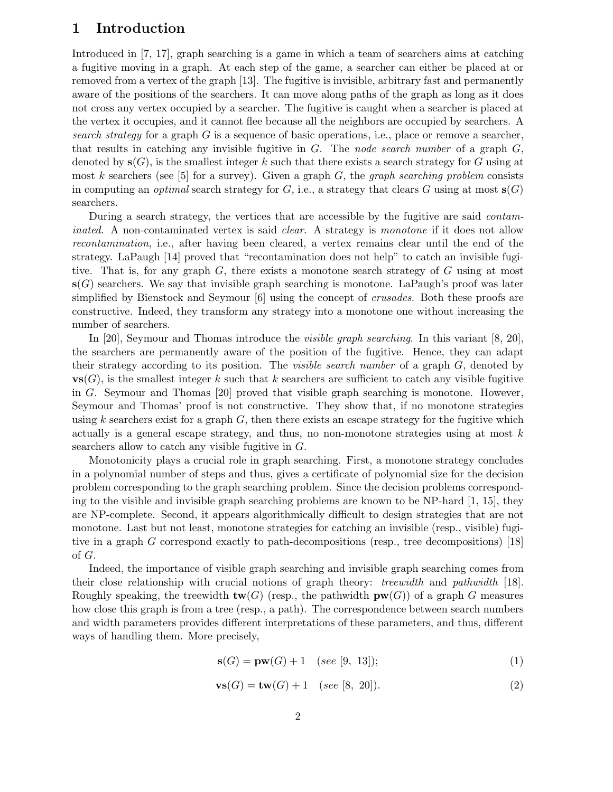# 1 Introduction

Introduced in [7, 17], graph searching is a game in which a team of searchers aims at catching a fugitive moving in a graph. At each step of the game, a searcher can either be placed at or removed from a vertex of the graph [13]. The fugitive is invisible, arbitrary fast and permanently aware of the positions of the searchers. It can move along paths of the graph as long as it does not cross any vertex occupied by a searcher. The fugitive is caught when a searcher is placed at the vertex it occupies, and it cannot flee because all the neighbors are occupied by searchers. A search strategy for a graph  $G$  is a sequence of basic operations, i.e., place or remove a searcher, that results in catching any invisible fugitive in  $G$ . The node search number of a graph  $G$ , denoted by  $s(G)$ , is the smallest integer k such that there exists a search strategy for G using at most k searchers (see [5] for a survey). Given a graph  $G$ , the *graph searching problem* consists in computing an *optimal* search strategy for G, i.e., a strategy that clears G using at most  $s(G)$ searchers.

During a search strategy, the vertices that are accessible by the fugitive are said contaminated. A non-contaminated vertex is said *clear*. A strategy is monotone if it does not allow recontamination, i.e., after having been cleared, a vertex remains clear until the end of the strategy. LaPaugh [14] proved that "recontamination does not help" to catch an invisible fugitive. That is, for any graph  $G$ , there exists a monotone search strategy of  $G$  using at most  $\mathbf{s}(G)$  searchers. We say that invisible graph searching is monotone. LaPaugh's proof was later simplified by Bienstock and Seymour [6] using the concept of crusades. Both these proofs are constructive. Indeed, they transform any strategy into a monotone one without increasing the number of searchers.

In [20], Seymour and Thomas introduce the *visible graph searching*. In this variant [8, 20], the searchers are permanently aware of the position of the fugitive. Hence, they can adapt their strategy according to its position. The *visible search number* of a graph  $G$ , denoted by  $\mathbf{vs}(G)$ , is the smallest integer k such that k searchers are sufficient to catch any visible fugitive in G. Seymour and Thomas [20] proved that visible graph searching is monotone. However, Seymour and Thomas' proof is not constructive. They show that, if no monotone strategies using k searchers exist for a graph  $G$ , then there exists an escape strategy for the fugitive which actually is a general escape strategy, and thus, no non-monotone strategies using at most  $k$ searchers allow to catch any visible fugitive in G.

Monotonicity plays a crucial role in graph searching. First, a monotone strategy concludes in a polynomial number of steps and thus, gives a certificate of polynomial size for the decision problem corresponding to the graph searching problem. Since the decision problems corresponding to the visible and invisible graph searching problems are known to be NP-hard  $[1, 15]$ , they are NP-complete. Second, it appears algorithmically difficult to design strategies that are not monotone. Last but not least, monotone strategies for catching an invisible (resp., visible) fugitive in a graph G correspond exactly to path-decompositions (resp., tree decompositions) [18] of G.

Indeed, the importance of visible graph searching and invisible graph searching comes from their close relationship with crucial notions of graph theory: treewidth and pathwidth [18]. Roughly speaking, the treewidth  $\mathbf{tw}(G)$  (resp., the pathwidth  $\mathbf{pw}(G)$ ) of a graph G measures how close this graph is from a tree (resp., a path). The correspondence between search numbers and width parameters provides different interpretations of these parameters, and thus, different ways of handling them. More precisely,

$$
\mathbf{s}(G) = \mathbf{pw}(G) + 1 \quad (see \ [9, 13]); \tag{1}
$$

$$
\mathbf{vs}(G) = \mathbf{tw}(G) + 1 \quad (see [8, 20]). \tag{2}
$$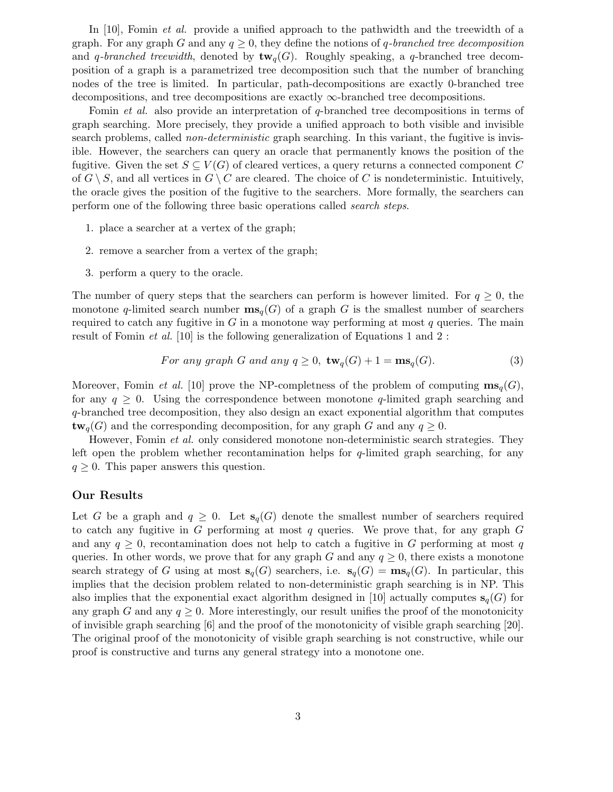In [10], Fomin *et al.* provide a unified approach to the pathwidth and the treewidth of a graph. For any graph G and any  $q \geq 0$ , they define the notions of q-branched tree decomposition and q-branched treewidth, denoted by  $\text{tw}_{q}(G)$ . Roughly speaking, a q-branched tree decomposition of a graph is a parametrized tree decomposition such that the number of branching nodes of the tree is limited. In particular, path-decompositions are exactly 0-branched tree decompositions, and tree decompositions are exactly ∞-branched tree decompositions.

Fomin et al. also provide an interpretation of q-branched tree decompositions in terms of graph searching. More precisely, they provide a unified approach to both visible and invisible search problems, called *non-deterministic* graph searching. In this variant, the fugitive is invisible. However, the searchers can query an oracle that permanently knows the position of the fugitive. Given the set  $S \subseteq V(G)$  of cleared vertices, a query returns a connected component C of  $G \setminus S$ , and all vertices in  $G \setminus C$  are cleared. The choice of C is nondeterministic. Intuitively, the oracle gives the position of the fugitive to the searchers. More formally, the searchers can perform one of the following three basic operations called search steps.

- 1. place a searcher at a vertex of the graph;
- 2. remove a searcher from a vertex of the graph;
- 3. perform a query to the oracle.

The number of query steps that the searchers can perform is however limited. For  $q \geq 0$ , the monotone q-limited search number  $\mathbf{ms}_q(G)$  of a graph G is the smallest number of searchers required to catch any fugitive in G in a monotone way performing at most  $q$  queries. The main result of Fomin et al. [10] is the following generalization of Equations 1 and 2 :

For any graph G and any 
$$
q \ge 0
$$
,  $\mathbf{tw}_q(G) + 1 = \mathbf{ms}_q(G)$ . (3)

Moreover, Fomin *et al.* [10] prove the NP-completness of the problem of computing  $\mathbf{ms}_q(G)$ , for any  $q \geq 0$ . Using the correspondence between monotone q-limited graph searching and q-branched tree decomposition, they also design an exact exponential algorithm that computes  $\mathbf{tw}_{q}(G)$  and the corresponding decomposition, for any graph G and any  $q \geq 0$ .

However, Fomin *et al.* only considered monotone non-deterministic search strategies. They left open the problem whether recontamination helps for  $q$ -limited graph searching, for any  $q \geq 0$ . This paper answers this question.

### Our Results

Let G be a graph and  $q \geq 0$ . Let  $s_q(G)$  denote the smallest number of searchers required to catch any fugitive in G performing at most q queries. We prove that, for any graph  $G$ and any  $q \geq 0$ , recontamination does not help to catch a fugitive in G performing at most q queries. In other words, we prove that for any graph G and any  $q \geq 0$ , there exists a monotone search strategy of G using at most  $\mathbf{s}_q(G)$  searchers, i.e.  $\mathbf{s}_q(G) = \mathbf{ms}_q(G)$ . In particular, this implies that the decision problem related to non-deterministic graph searching is in NP. This also implies that the exponential exact algorithm designed in [10] actually computes  $s_q(G)$  for any graph G and any  $q \geq 0$ . More interestingly, our result unifies the proof of the monotonicity of invisible graph searching [6] and the proof of the monotonicity of visible graph searching [20]. The original proof of the monotonicity of visible graph searching is not constructive, while our proof is constructive and turns any general strategy into a monotone one.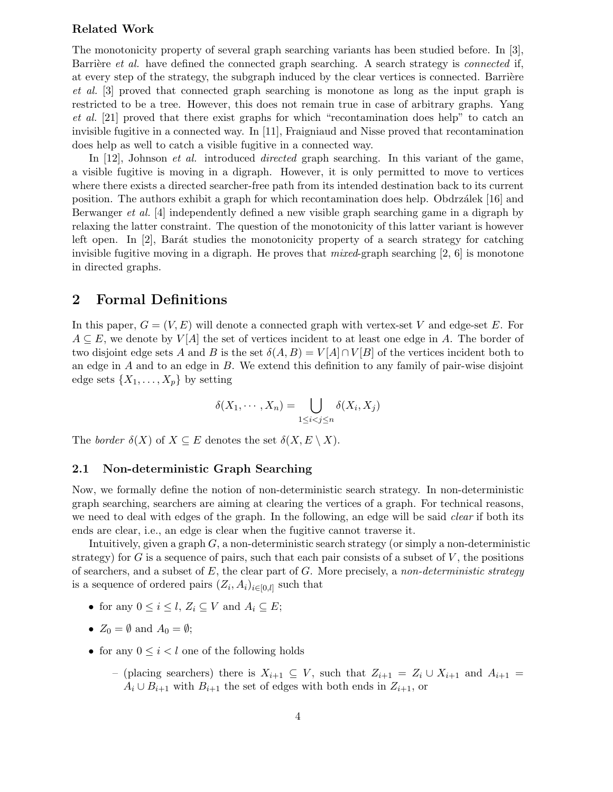## Related Work

The monotonicity property of several graph searching variants has been studied before. In [3], Barrière et al. have defined the connected graph searching. A search strategy is *connected* if, at every step of the strategy, the subgraph induced by the clear vertices is connected. Barrière et al. [3] proved that connected graph searching is monotone as long as the input graph is restricted to be a tree. However, this does not remain true in case of arbitrary graphs. Yang et al. [21] proved that there exist graphs for which "recontamination does help" to catch an invisible fugitive in a connected way. In [11], Fraigniaud and Nisse proved that recontamination does help as well to catch a visible fugitive in a connected way.

In [12], Johnson *et al.* introduced *directed* graph searching. In this variant of the game, a visible fugitive is moving in a digraph. However, it is only permitted to move to vertices where there exists a directed searcher-free path from its intended destination back to its current position. The authors exhibit a graph for which recontamination does help. Obdrzálek [16] and Berwanger et al. [4] independently defined a new visible graph searching game in a digraph by relaxing the latter constraint. The question of the monotonicity of this latter variant is however left open. In  $[2]$ , Barát studies the monotonicity property of a search strategy for catching invisible fugitive moving in a digraph. He proves that  $mixed$ -graph searching  $[2, 6]$  is monotone in directed graphs.

### 2 Formal Definitions

In this paper,  $G = (V, E)$  will denote a connected graph with vertex-set V and edge-set E. For  $A \subseteq E$ , we denote by  $V[A]$  the set of vertices incident to at least one edge in A. The border of two disjoint edge sets A and B is the set  $\delta(A, B) = V[A] \cap V[B]$  of the vertices incident both to an edge in  $A$  and to an edge in  $B$ . We extend this definition to any family of pair-wise disjoint edge sets  $\{X_1, \ldots, X_p\}$  by setting

$$
\delta(X_1,\cdots,X_n)=\bigcup_{1\leq i
$$

The border  $\delta(X)$  of  $X \subseteq E$  denotes the set  $\delta(X, E \setminus X)$ .

### 2.1 Non-deterministic Graph Searching

Now, we formally define the notion of non-deterministic search strategy. In non-deterministic graph searching, searchers are aiming at clearing the vertices of a graph. For technical reasons, we need to deal with edges of the graph. In the following, an edge will be said *clear* if both its ends are clear, i.e., an edge is clear when the fugitive cannot traverse it.

Intuitively, given a graph  $G$ , a non-deterministic search strategy (or simply a non-deterministic strategy) for G is a sequence of pairs, such that each pair consists of a subset of  $V$ , the positions of searchers, and a subset of  $E$ , the clear part of  $G$ . More precisely, a non-deterministic strategy is a sequence of ordered pairs  $(Z_i, A_i)_{i \in [0,l]}$  such that

- for any  $0 \leq i \leq l$ ,  $Z_i \subseteq V$  and  $A_i \subseteq E$ ;
- $Z_0 = \emptyset$  and  $A_0 = \emptyset$ ;
- for any  $0 \leq i \leq l$  one of the following holds
	- (placing searchers) there is  $X_{i+1} \subseteq V$ , such that  $Z_{i+1} = Z_i \cup X_{i+1}$  and  $A_{i+1} =$  $A_i \cup B_{i+1}$  with  $B_{i+1}$  the set of edges with both ends in  $Z_{i+1}$ , or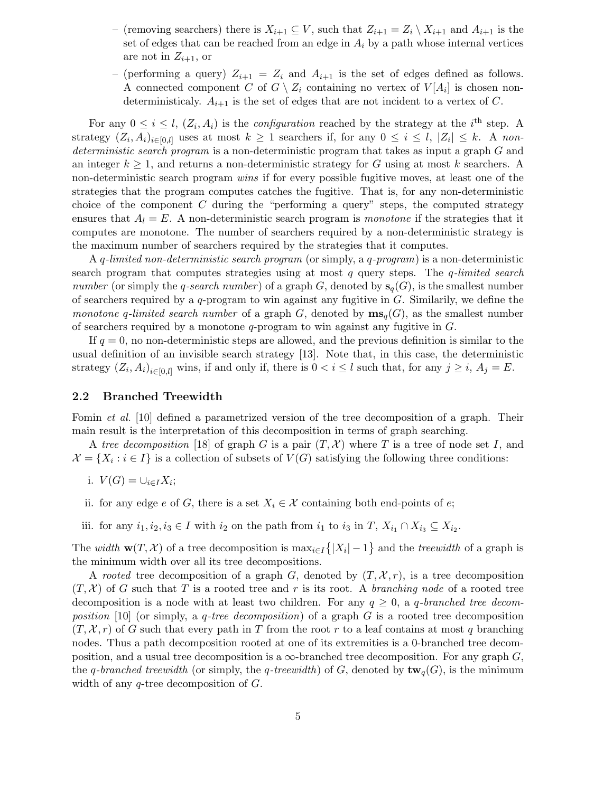- (removing searchers) there is  $X_{i+1} \subseteq V$ , such that  $Z_{i+1} = Z_i \setminus X_{i+1}$  and  $A_{i+1}$  is the set of edges that can be reached from an edge in  $A_i$  by a path whose internal vertices are not in  $Z_{i+1}$ , or
- (performing a query)  $Z_{i+1} = Z_i$  and  $A_{i+1}$  is the set of edges defined as follows. A connected component C of  $G \setminus Z_i$  containing no vertex of  $V[A_i]$  is chosen nondeterministicaly.  $A_{i+1}$  is the set of edges that are not incident to a vertex of C.

For any  $0 \leq i \leq l$ ,  $(Z_i, A_i)$  is the *configuration* reached by the strategy at the *i*<sup>th</sup> step. A strategy  $(Z_i, A_i)_{i \in [0,l]}$  uses at most  $k \geq 1$  searchers if, for any  $0 \leq i \leq l, |Z_i| \leq k$ . A nondeterministic search program is a non-deterministic program that takes as input a graph G and an integer  $k \geq 1$ , and returns a non-deterministic strategy for G using at most k searchers. A non-deterministic search program wins if for every possible fugitive moves, at least one of the strategies that the program computes catches the fugitive. That is, for any non-deterministic choice of the component  $C$  during the "performing a query" steps, the computed strategy ensures that  $A_l = E$ . A non-deterministic search program is monotone if the strategies that it computes are monotone. The number of searchers required by a non-deterministic strategy is the maximum number of searchers required by the strategies that it computes.

A q-limited non-deterministic search program (or simply, a q-program) is a non-deterministic search program that computes strategies using at most  $q$  query steps. The *q*-limited search number (or simply the q-search number) of a graph G, denoted by  $s_q(G)$ , is the smallest number of searchers required by a  $q$ -program to win against any fugitive in  $G$ . Similarily, we define the monotone q-limited search number of a graph G, denoted by  $\mathbf{ms}_q(G)$ , as the smallest number of searchers required by a monotone  $q$ -program to win against any fugitive in  $G$ .

If  $q = 0$ , no non-deterministic steps are allowed, and the previous definition is similar to the usual definition of an invisible search strategy [13]. Note that, in this case, the deterministic strategy  $(Z_i, A_i)_{i \in [0,l]}$  wins, if and only if, there is  $0 < i \leq l$  such that, for any  $j \geq i$ ,  $A_j = E$ .

### 2.2 Branched Treewidth

Fomin et al. [10] defined a parametrized version of the tree decomposition of a graph. Their main result is the interpretation of this decomposition in terms of graph searching.

A tree decomposition [18] of graph G is a pair  $(T, \mathcal{X})$  where T is a tree of node set I, and  $\mathcal{X} = \{X_i : i \in I\}$  is a collection of subsets of  $V(G)$  satisfying the following three conditions:

- i.  $V(G) = \cup_{i \in I} X_i;$
- ii. for any edge e of G, there is a set  $X_i \in \mathcal{X}$  containing both end-points of e;
- iii. for any  $i_1, i_2, i_3 \in I$  with  $i_2$  on the path from  $i_1$  to  $i_3$  in  $T, X_{i_1} \cap X_{i_3} \subseteq X_{i_2}$ .

The width  $\mathbf{w}(T, \mathcal{X})$  of a tree decomposition is  $\max_{i \in I} \{|X_i| - 1\}$  and the treewidth of a graph is the minimum width over all its tree decompositions.

A rooted tree decomposition of a graph G, denoted by  $(T, \mathcal{X}, r)$ , is a tree decomposition  $(T, \mathcal{X})$  of G such that T is a rooted tree and r is its root. A branching node of a rooted tree decomposition is a node with at least two children. For any  $q \geq 0$ , a q-branched tree decomposition [10] (or simply, a q-tree decomposition) of a graph  $G$  is a rooted tree decomposition  $(T, \mathcal{X}, r)$  of G such that every path in T from the root r to a leaf contains at most q branching nodes. Thus a path decomposition rooted at one of its extremities is a 0-branched tree decomposition, and a usual tree decomposition is a  $\infty$ -branched tree decomposition. For any graph G, the q-branched treewidth (or simply, the q-treewidth) of G, denoted by  $\text{tw}_{q}(G)$ , is the minimum width of any q-tree decomposition of G.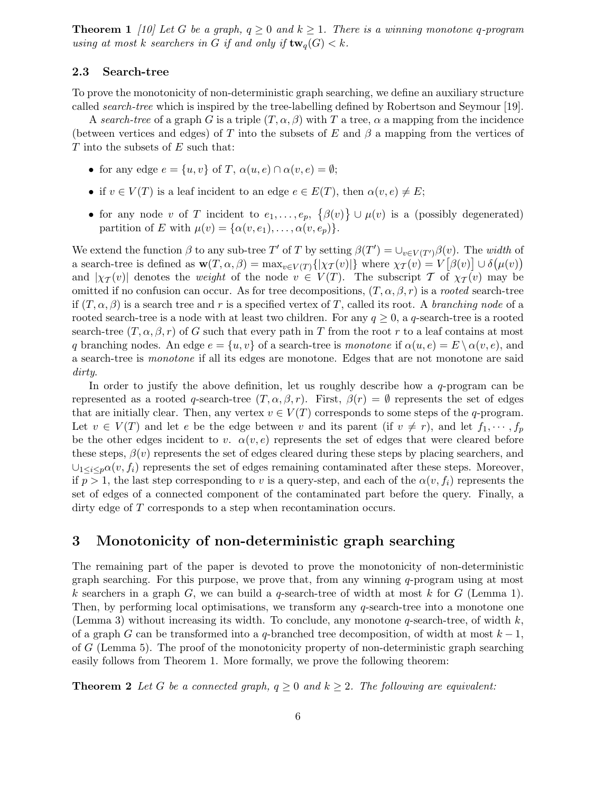**Theorem 1** [10] Let G be a graph,  $q \ge 0$  and  $k \ge 1$ . There is a winning monotone q-program using at most k searchers in G if and only if  $\text{tw}_q(G) < k$ .

#### 2.3 Search-tree

To prove the monotonicity of non-deterministic graph searching, we define an auxiliary structure called search-tree which is inspired by the tree-labelling defined by Robertson and Seymour [19].

A search-tree of a graph G is a triple  $(T, \alpha, \beta)$  with T a tree,  $\alpha$  a mapping from the incidence (between vertices and edges) of T into the subsets of E and  $\beta$  a mapping from the vertices of  $T$  into the subsets of  $E$  such that:

- for any edge  $e = \{u, v\}$  of T,  $\alpha(u, e) \cap \alpha(v, e) = \emptyset$ ;
- if  $v \in V(T)$  is a leaf incident to an edge  $e \in E(T)$ , then  $\alpha(v, e) \neq E$ ;
- for any node v of T incident to  $e_1, \ldots, e_p, \{\beta(v)\} \cup \mu(v)$  is a (possibly degenerated) partition of E with  $\mu(v) = {\alpha(v, e_1), \dots, \alpha(v, e_p)}.$

We extend the function  $\beta$  to any sub-tree T' of T by setting  $\beta(T') = \bigcup_{v \in V(T')} \beta(v)$ . The width of a search-tree is defined as  $\mathbf{w}(T, \alpha, \beta) = \max_{v \in V(T)} {\{|\chi_T(v)|\}}$  where  $\chi_T(v) = V[\beta(v)] \cup \delta(\mu(v))$ and  $|\chi_T(v)|$  denotes the weight of the node  $v \in V(T)$ . The subscript T of  $\chi_T(v)$  may be omitted if no confusion can occur. As for tree decompositions,  $(T, \alpha, \beta, r)$  is a rooted search-tree if  $(T, \alpha, \beta)$  is a search tree and r is a specified vertex of T, called its root. A branching node of a rooted search-tree is a node with at least two children. For any  $q \geq 0$ , a q-search-tree is a rooted search-tree  $(T, \alpha, \beta, r)$  of G such that every path in T from the root r to a leaf contains at most q branching nodes. An edge  $e = \{u, v\}$  of a search-tree is monotone if  $\alpha(u, e) = E \setminus \alpha(v, e)$ , and a search-tree is monotone if all its edges are monotone. Edges that are not monotone are said dirty.

In order to justify the above definition, let us roughly describe how a  $q$ -program can be represented as a rooted q-search-tree  $(T, \alpha, \beta, r)$ . First,  $\beta(r) = \emptyset$  represents the set of edges that are initially clear. Then, any vertex  $v \in V(T)$  corresponds to some steps of the q-program. Let  $v \in V(T)$  and let e be the edge between v and its parent (if  $v \neq r$ ), and let  $f_1, \dots, f_p$ be the other edges incident to v.  $\alpha(v, e)$  represents the set of edges that were cleared before these steps,  $\beta(v)$  represents the set of edges cleared during these steps by placing searchers, and  $\bigcup_{1 \leq i \leq p} \alpha(v, f_i)$  represents the set of edges remaining contaminated after these steps. Moreover, if  $p > 1$ , the last step corresponding to v is a query-step, and each of the  $\alpha(v, f_i)$  represents the set of edges of a connected component of the contaminated part before the query. Finally, a dirty edge of T corresponds to a step when recontamination occurs.

# 3 Monotonicity of non-deterministic graph searching

The remaining part of the paper is devoted to prove the monotonicity of non-deterministic graph searching. For this purpose, we prove that, from any winning q-program using at most k searchers in a graph G, we can build a q-search-tree of width at most k for G (Lemma 1). Then, by performing local optimisations, we transform any  $q$ -search-tree into a monotone one (Lemma 3) without increasing its width. To conclude, any monotone  $q$ -search-tree, of width  $k$ , of a graph G can be transformed into a q-branched tree decomposition, of width at most  $k-1$ , of G (Lemma 5). The proof of the monotonicity property of non-deterministic graph searching easily follows from Theorem 1. More formally, we prove the following theorem:

**Theorem 2** Let G be a connected graph,  $q \ge 0$  and  $k \ge 2$ . The following are equivalent: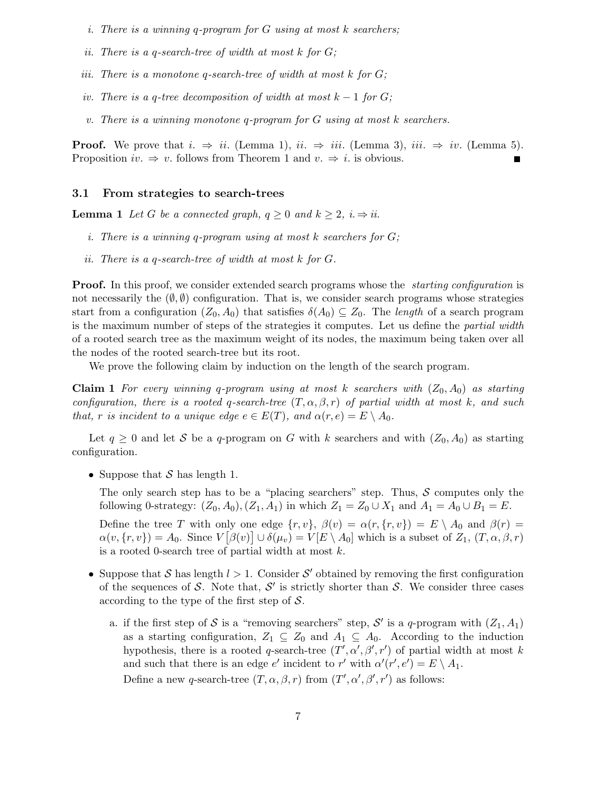- i. There is a winning q-program for  $G$  using at most k searchers;
- ii. There is a q-search-tree of width at most  $k$  for  $G$ ;
- iii. There is a monotone q-search-tree of width at most  $k$  for  $G$ ;
- iv. There is a q-tree decomposition of width at most  $k-1$  for  $G$ ;
- v. There is a winning monotone q-program for  $G$  using at most  $k$  searchers.

**Proof.** We prove that  $i. \Rightarrow ii.$  (Lemma 1),  $ii. \Rightarrow iii.$  (Lemma 3),  $iii. \Rightarrow iv.$  (Lemma 5). Proposition  $iv. \Rightarrow v.$  follows from Theorem 1 and  $v. \Rightarrow i.$  is obvious.

#### 3.1 From strategies to search-trees

**Lemma 1** Let G be a connected graph,  $q \ge 0$  and  $k \ge 2$ ,  $i \Rightarrow ii$ .

- i. There is a winning q-program using at most k searchers for  $G$ ;
- ii. There is a q-search-tree of width at most k for G.

**Proof.** In this proof, we consider extended search programs whose the *starting configuration* is not necessarily the  $(\emptyset, \emptyset)$  configuration. That is, we consider search programs whose strategies start from a configuration  $(Z_0, A_0)$  that satisfies  $\delta(A_0) \subseteq Z_0$ . The length of a search program is the maximum number of steps of the strategies it computes. Let us define the partial width of a rooted search tree as the maximum weight of its nodes, the maximum being taken over all the nodes of the rooted search-tree but its root.

We prove the following claim by induction on the length of the search program.

**Claim 1** For every winning q-program using at most k searchers with  $(Z_0, A_0)$  as starting configuration, there is a rooted q-search-tree  $(T, \alpha, \beta, r)$  of partial width at most k, and such that, r is incident to a unique edge  $e \in E(T)$ , and  $\alpha(r,e) = E \setminus A_0$ .

Let  $q \geq 0$  and let S be a q-program on G with k searchers and with  $(Z_0, A_0)$  as starting configuration.

• Suppose that  $S$  has length 1.

The only search step has to be a "placing searchers" step. Thus,  $S$  computes only the following 0-strategy:  $(Z_0, A_0), (Z_1, A_1)$  in which  $Z_1 = Z_0 \cup X_1$  and  $A_1 = A_0 \cup B_1 = E$ .

Define the tree T with only one edge  $\{r, v\}$ ,  $\beta(v) = \alpha(r, \{r, v\}) = E \setminus A_0$  and  $\beta(r) =$  $\alpha(v, \{r, v\}) = A_0$ . Since  $V[\beta(v)] \cup \delta(\mu_v) = V[E \setminus A_0]$  which is a subset of  $Z_1, (T, \alpha, \beta, r)$ is a rooted 0-search tree of partial width at most  $k$ .

- Suppose that S has length  $l > 1$ . Consider S' obtained by removing the first configuration of the sequences of S. Note that,  $S'$  is strictly shorter than S. We consider three cases according to the type of the first step of  $S$ .
	- a. if the first step of S is a "removing searchers" step, S' is a q-program with  $(Z_1, A_1)$ as a starting configuration,  $Z_1 \subseteq Z_0$  and  $A_1 \subseteq A_0$ . According to the induction hypothesis, there is a rooted q-search-tree  $(T', \alpha', \beta', r')$  of partial width at most k and such that there is an edge  $e'$  incident to r' with  $\alpha'(r', e') = E \setminus A_1$ . Define a new q-search-tree  $(T, \alpha, \beta, r)$  from  $(T', \alpha', \beta', r')$  as follows: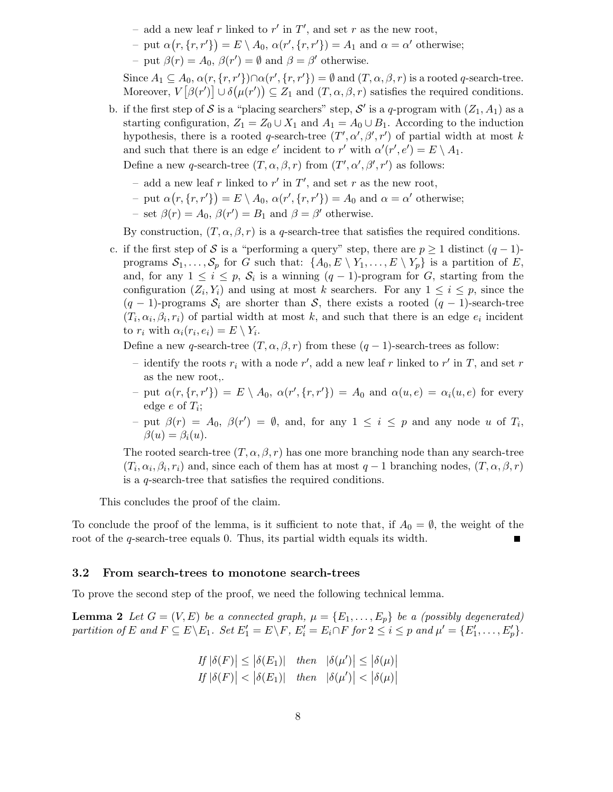- add a new leaf r linked to  $r'$  in  $T'$ , and set r as the new root,
- put  $\alpha(r, \{r, r'\}) = E \setminus A_0, \alpha(r', \{r, r'\}) = A_1$  and  $\alpha = \alpha'$  otherwise;
- put  $\beta(r) = A_0$ ,  $\beta(r') = \emptyset$  and  $\beta = \beta'$  otherwise.

Since  $A_1 \subseteq A_0$ ,  $\alpha(r, \{r, r'\}) \cap \alpha(r', \{r, r'\}) = \emptyset$  and  $(T, \alpha, \beta, r)$  is a rooted q-search-tree. Moreover,  $V[\beta(r')] \cup \delta(\mu(r')) \subseteq Z_1$  and  $(T, \alpha, \beta, r)$  satisfies the required conditions.

b. if the first step of S is a "placing searchers" step, S' is a q-program with  $(Z_1, A_1)$  as a starting configuration,  $Z_1 = Z_0 \cup X_1$  and  $A_1 = A_0 \cup B_1$ . According to the induction hypothesis, there is a rooted q-search-tree  $(T', \alpha', \beta', r')$  of partial width at most k and such that there is an edge  $e'$  incident to r' with  $\alpha'(r', e') = E \setminus A_1$ . Define a new q-search-tree  $(T, \alpha, \beta, r)$  from  $(T', \alpha', \beta', r')$  as follows:

- add a new leaf r linked to  $r'$  in  $T'$ , and set r as the new root,
- put  $\alpha(r, \{r, r'\}) = E \setminus A_0, \alpha(r', \{r, r'\}) = A_0$  and  $\alpha = \alpha'$  otherwise;
- $-$  set  $\beta(r) = A_0$ ,  $\beta(r') = B_1$  and  $\beta = \beta'$  otherwise.

By construction,  $(T, \alpha, \beta, r)$  is a q-search-tree that satisfies the required conditions.

c. if the first step of S is a "performing a query" step, there are  $p \ge 1$  distinct  $(q-1)$ programs  $S_1, \ldots, S_p$  for G such that:  $\{A_0, E \setminus Y_1, \ldots, E \setminus Y_p\}$  is a partition of E, and, for any  $1 \leq i \leq p$ ,  $S_i$  is a winning  $(q-1)$ -program for G, starting from the configuration  $(Z_i, Y_i)$  and using at most k searchers. For any  $1 \leq i \leq p$ , since the  $(q-1)$ -programs  $S_i$  are shorter than S, there exists a rooted  $(q-1)$ -search-tree  $(T_i, \alpha_i, \beta_i, r_i)$  of partial width at most k, and such that there is an edge  $e_i$  incident to  $r_i$  with  $\alpha_i(r_i, e_i) = E \setminus Y_i$ .

Define a new q-search-tree  $(T, \alpha, \beta, r)$  from these  $(q - 1)$ -search-trees as follow:

- identify the roots  $r_i$  with a node  $r'$ , add a new leaf r linked to  $r'$  in T, and set r as the new root,.
- put  $\alpha(r, \{r, r'\}) = E \setminus A_0, \ \alpha(r', \{r, r'\}) = A_0$  and  $\alpha(u, e) = \alpha_i(u, e)$  for every edge  $e$  of  $T_i$ ;
- $-$  put  $\beta(r) = A_0$ ,  $\beta(r') = \emptyset$ , and, for any  $1 \leq i \leq p$  and any node u of  $T_i$ ,  $\beta(u) = \beta_i(u).$

The rooted search-tree  $(T, \alpha, \beta, r)$  has one more branching node than any search-tree  $(T_i, \alpha_i, \beta_i, r_i)$  and, since each of them has at most  $q-1$  branching nodes,  $(T, \alpha, \beta, r)$ is a q-search-tree that satisfies the required conditions.

This concludes the proof of the claim.

To conclude the proof of the lemma, is it sufficient to note that, if  $A_0 = \emptyset$ , the weight of the root of the q-search-tree equals 0. Thus, its partial width equals its width.

#### 3.2 From search-trees to monotone search-trees

To prove the second step of the proof, we need the following technical lemma.

**Lemma 2** Let  $G = (V, E)$  be a connected graph,  $\mu = \{E_1, \ldots, E_p\}$  be a (possibly degenerated) partition of E and  $F \subseteq E \setminus E_1$ . Set  $E'_1 = E \setminus F$ ,  $E'_i = E_i \cap F$  for  $2 \leq i \leq p$  and  $\mu' = \{E'_1, \ldots, E'_p\}$ .

$$
If |\delta(F)| \le |\delta(E_1)| \quad then \quad |\delta(\mu')| \le |\delta(\mu)|
$$
  
If |\delta(F)| < |\delta(E\_1)| \quad then \quad |\delta(\mu')| < |\delta(\mu)|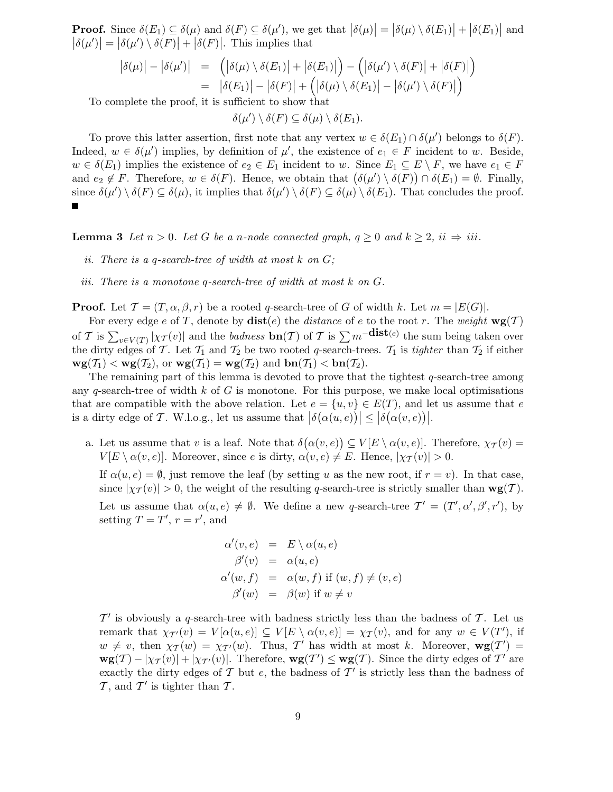**Proof.** Since  $\delta(E_1) \subseteq \delta(\mu)$  and  $\delta(F) \subseteq \delta(\mu')$ , we get that  $|\delta(\mu)| = |\delta(\mu) \setminus \delta(E_1)| + |\delta(E_1)|$  and  $\left|\delta(\mu')\right| = \left|\delta(\mu')\setminus\delta(F)\right| + \left|\delta(F)\right|$ . This implies that

$$
\begin{array}{rcl} \left| \delta(\mu) \right| - \left| \delta(\mu') \right| & = & \left( \left| \delta(\mu) \setminus \delta(E_1) \right| + \left| \delta(E_1) \right| \right) - \left( \left| \delta(\mu') \setminus \delta(F) \right| + \left| \delta(F) \right| \right) \\ & = & \left| \delta(E_1) \right| - \left| \delta(F) \right| + \left( \left| \delta(\mu) \setminus \delta(E_1) \right| - \left| \delta(\mu') \setminus \delta(F) \right| \right) \end{array}
$$

To complete the proof, it is sufficient to show that

 $\delta(\mu') \setminus \delta(F) \subseteq \delta(\mu) \setminus \delta(E_1).$ 

To prove this latter assertion, first note that any vertex  $w \in \delta(E_1) \cap \delta(\mu')$  belongs to  $\delta(F)$ . Indeed,  $w \in \delta(\mu')$  implies, by definition of  $\mu'$ , the existence of  $e_1 \in F$  incident to w. Beside,  $w \in \delta(E_1)$  implies the existence of  $e_2 \in E_1$  incident to w. Since  $E_1 \subseteq E \setminus F$ , we have  $e_1 \in F$ and  $e_2 \notin F$ . Therefore,  $w \in \delta(F)$ . Hence, we obtain that  $(\delta(\mu') \setminus \delta(F)) \cap \delta(E_1) = \emptyset$ . Finally, since  $\delta(\mu') \setminus \delta(F) \subseteq \delta(\mu)$ , it implies that  $\delta(\mu') \setminus \delta(F) \subseteq \delta(\mu) \setminus \delta(E_1)$ . That concludes the proof.

**Lemma 3** Let  $n > 0$ . Let G be a n-node connected graph,  $q \ge 0$  and  $k \ge 2$ ,  $ii \Rightarrow iii$ .

- ii. There is a q-search-tree of width at most  $k$  on  $G$ ;
- iii. There is a monotone q-search-tree of width at most k on G.

**Proof.** Let  $\mathcal{T} = (T, \alpha, \beta, r)$  be a rooted q-search-tree of G of width k. Let  $m = |E(G)|$ .

For every edge e of T, denote by  $dist(e)$  the distance of e to the root r. The weight  $wg(T)$ of T is  $\sum_{v \in V(T)} |\chi_T(v)|$  and the *badness*  $\mathbf{bn}(T)$  of T is  $\sum m^{-\mathbf{dist}(e)}$  the sum being taken over the dirty edges of T. Let  $T_1$  and  $T_2$  be two rooted q-search-trees.  $T_1$  is tighter than  $T_2$  if either  $\mathbf{wg}(\mathcal{T}_1) < \mathbf{wg}(\mathcal{T}_2)$ , or  $\mathbf{wg}(\mathcal{T}_1) = \mathbf{wg}(\mathcal{T}_2)$  and  $\mathbf{bn}(\mathcal{T}_1) < \mathbf{bn}(\mathcal{T}_2)$ .

The remaining part of this lemma is devoted to prove that the tightest q-search-tree among any q-search-tree of width  $k$  of  $G$  is monotone. For this purpose, we make local optimisations that are compatible with the above relation. Let  $e = \{u, v\} \in E(T)$ , and let us assume that e is a dirty edge of T. W.l.o.g., let us assume that  $\left|\delta(\alpha(u, e))\right| \leq \left|\delta(\alpha(v, e))\right|$ .

a. Let us assume that v is a leaf. Note that  $\delta(\alpha(v,e)) \subseteq V[E \setminus \alpha(v,e)]$ . Therefore,  $\chi_{\mathcal{T}}(v) =$  $V[E \setminus \alpha(v, e)]$ . Moreover, since e is dirty,  $\alpha(v, e) \neq E$ . Hence,  $|\chi_{\mathcal{T}}(v)| > 0$ .

If  $\alpha(u, e) = \emptyset$ , just remove the leaf (by setting u as the new root, if  $r = v$ ). In that case, since  $|\chi_T(v)| > 0$ , the weight of the resulting q-search-tree is strictly smaller than  $\mathbf{wg}(T)$ . Let us assume that  $\alpha(u, e) \neq \emptyset$ . We define a new q-search-tree  $\mathcal{T}' = (\mathcal{T}', \alpha', \beta', r')$ , by setting  $T = T'$ ,  $r = r'$ , and

$$
\alpha'(v, e) = E \setminus \alpha(u, e)
$$
  
\n
$$
\beta'(v) = \alpha(u, e)
$$
  
\n
$$
\alpha'(w, f) = \alpha(w, f) \text{ if } (w, f) \neq (v, e)
$$
  
\n
$$
\beta'(w) = \beta(w) \text{ if } w \neq v
$$

 $\mathcal{T}'$  is obviously a q-search-tree with badness strictly less than the badness of  $\mathcal{T}$ . Let us remark that  $\chi_{T'}(v) = V[\alpha(u, e)] \subseteq V[E \setminus \alpha(v, e)] = \chi_T(v)$ , and for any  $w \in V(T')$ , if  $w \neq v$ , then  $\chi_T(w) = \chi_{T'}(w)$ . Thus, T' has width at most k. Moreover,  $wg(T') =$  $\mathbf{wg}(T) - |\chi_T(v)| + |\chi_{T'}(v)|$ . Therefore,  $\mathbf{wg}(T') \leq \mathbf{wg}(T)$ . Since the dirty edges of T' are exactly the dirty edges of  $\mathcal T$  but  $e$ , the badness of  $\mathcal T'$  is strictly less than the badness of  $\mathcal{T}$ , and  $\mathcal{T}'$  is tighter than  $\mathcal{T}$ .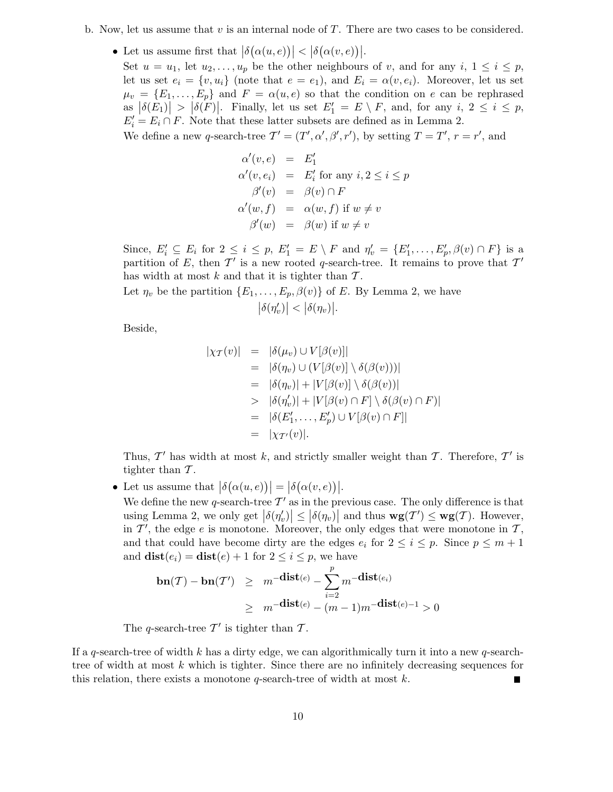- b. Now, let us assume that  $v$  is an internal node of  $T$ . There are two cases to be considered.
	- Let us assume first that  $|\delta(\alpha(u, e))| < |\delta(\alpha(v, e))|$ .

Set  $u = u_1$ , let  $u_2, \ldots, u_p$  be the other neighbours of v, and for any  $i, 1 \leq i \leq p$ , let us set  $e_i = \{v, u_i\}$  (note that  $e = e_1$ ), and  $E_i = \alpha(v, e_i)$ . Moreover, let us set  $\mu_v = \{E_1, \ldots, E_p\}$  and  $F = \alpha(u, e)$  so that the condition on e can be rephrased as  $|\delta(E_1)| > |\delta(F)|$ . Finally, let us set  $E'_1 = E \setminus F$ , and, for any  $i, 2 \leq i \leq p$ ,  $E'_{i} = E_{i} \cap F$ . Note that these latter subsets are defined as in Lemma 2.

We define a new q-search-tree  $\mathcal{T}' = (T', \alpha', \beta', r')$ , by setting  $T = T', r = r'$ , and

$$
\alpha'(v, e) = E'_1
$$
  
\n
$$
\alpha'(v, e_i) = E'_i \text{ for any } i, 2 \le i \le p
$$
  
\n
$$
\beta'(v) = \beta(v) \cap F
$$
  
\n
$$
\alpha'(w, f) = \alpha(w, f) \text{ if } w \ne v
$$
  
\n
$$
\beta'(w) = \beta(w) \text{ if } w \ne v
$$

Since,  $E'_i \subseteq E_i$  for  $2 \le i \le p$ ,  $E'_1 = E \setminus F$  and  $\eta'_v = \{E'_1, \ldots, E'_p, \beta(v) \cap F\}$  is a partition of E, then  $\mathcal{T}'$  is a new rooted q-search-tree. It remains to prove that  $\mathcal{T}'$ has width at most k and that it is tighter than  $\mathcal{T}$ .

Let  $\eta_v$  be the partition  $\{E_1, \ldots, E_p, \beta(v)\}\$  of E. By Lemma 2, we have  $\left|\delta(\eta'_{v})\right| < \left|\delta(\eta_{v})\right|$ .

Beside,

$$
|\chi_{\mathcal{T}}(v)| = |\delta(\mu_v) \cup V[\beta(v)]|
$$
  
\n
$$
= |\delta(\eta_v) \cup (V[\beta(v)] \setminus \delta(\beta(v)))|
$$
  
\n
$$
= |\delta(\eta_v)| + |V[\beta(v)] \setminus \delta(\beta(v))|
$$
  
\n
$$
> |\delta(\eta'_v)| + |V[\beta(v) \cap F] \setminus \delta(\beta(v) \cap F)|
$$
  
\n
$$
= |\delta(E'_1, \ldots, E'_p) \cup V[\beta(v) \cap F]|
$$
  
\n
$$
= |\chi_{\mathcal{T}'}(v)|.
$$

Thus,  $\mathcal{T}'$  has width at most k, and strictly smaller weight than  $\mathcal{T}$ . Therefore,  $\mathcal{T}'$  is tighter than  $\mathcal T$ .

• Let us assume that  $\left|\delta(\alpha(u,e))\right| = \left|\delta(\alpha(v,e))\right|$ .

We define the new q-search-tree  $\mathcal{T}'$  as in the previous case. The only difference is that using Lemma 2, we only get  $|\delta(\eta'_v)| \leq |\delta(\eta_v)|$  and thus  $\mathbf{wg}(\mathcal{T}') \leq \mathbf{wg}(\mathcal{T})$ . However, in  $\mathcal{T}'$ , the edge e is monotone. Moreover, the only edges that were monotone in  $\mathcal{T}$ , and that could have become dirty are the edges  $e_i$  for  $2 \leq i \leq p$ . Since  $p \leq m+1$ and  $dist(e_i) = dist(e) + 1$  for  $2 \leq i \leq p$ , we have

$$
\mathbf{bn}(\mathcal{T}) - \mathbf{bn}(\mathcal{T}') \geq m^{-\mathbf{dist}(e)} - \sum_{i=2}^{p} m^{-\mathbf{dist}(e_i)}
$$
  
 
$$
\geq m^{-\mathbf{dist}(e)} - (m-1)m^{-\mathbf{dist}(e)-1} > 0
$$

The q-search-tree  $\mathcal{T}'$  is tighter than  $\mathcal{T}$ .

If a q-search-tree of width k has a dirty edge, we can algorithmically turn it into a new q-searchtree of width at most  $k$  which is tighter. Since there are no infinitely decreasing sequences for this relation, there exists a monotone  $q$ -search-tree of width at most  $k$ .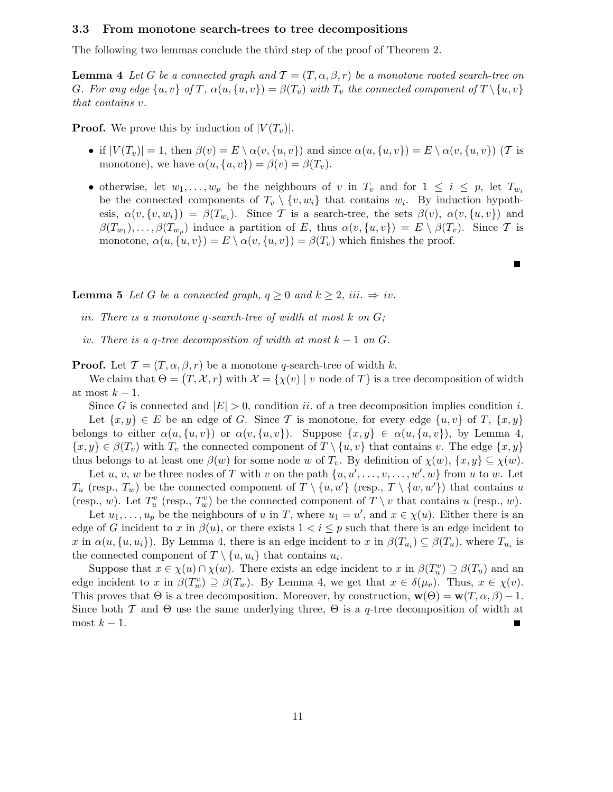#### 3.3 From monotone search-trees to tree decompositions

The following two lemmas conclude the third step of the proof of Theorem 2.

**Lemma 4** Let G be a connected graph and  $\mathcal{T} = (T, \alpha, \beta, r)$  be a monotone rooted search-tree on G. For any edge  $\{u, v\}$  of T,  $\alpha(u, \{u, v\}) = \beta(T_v)$  with  $T_v$  the connected component of  $T \setminus \{u, v\}$ that contains v.

**Proof.** We prove this by induction of  $|V(T_v)|$ .

- if  $|V(T_v)| = 1$ , then  $\beta(v) = E \setminus \alpha(v, \{u, v\})$  and since  $\alpha(u, \{u, v\}) = E \setminus \alpha(v, \{u, v\})$  (T is monotone), we have  $\alpha(u, \{u, v\}) = \beta(v) = \beta(T_v)$ .
- otherwise, let  $w_1, \ldots, w_p$  be the neighbours of v in  $T_v$  and for  $1 \leq i \leq p$ , let  $T_{w_i}$ be the connected components of  $T_v \setminus \{v, w_i\}$  that contains  $w_i$ . By induction hypothesis,  $\alpha(v, \{v, w_i\}) = \beta(T_{w_i})$ . Since T is a search-tree, the sets  $\beta(v)$ ,  $\alpha(v, \{u, v\})$  and  $\beta(T_{w_1}), \ldots, \beta(T_{w_p})$  induce a partition of E, thus  $\alpha(v, \{u, v\}) = E \setminus \beta(T_v)$ . Since T is monotone,  $\alpha(u, \{u, v\}) = E \setminus \alpha(v, \{u, v\}) = \beta(T_v)$  which finishes the proof.

 $\blacksquare$ 

**Lemma 5** Let G be a connected graph,  $q \geq 0$  and  $k \geq 2$ , iii.  $\Rightarrow iv$ .

- iii. There is a monotone q-search-tree of width at most  $k$  on  $G$ ;
- iv. There is a q-tree decomposition of width at most  $k 1$  on  $G$ .

**Proof.** Let  $\mathcal{T} = (T, \alpha, \beta, r)$  be a monotone q-search-tree of width k.

We claim that  $\Theta = (T, \mathcal{X}, r)$  with  $\mathcal{X} = \{\chi(v) \mid v \text{ node of } T\}$  is a tree decomposition of width at most  $k-1$ .

Since G is connected and  $|E| > 0$ , condition ii. of a tree decomposition implies condition i. Let  $\{x, y\} \in E$  be an edge of G. Since T is monotone, for every edge  $\{u, v\}$  of T,  $\{x, y\}$ belongs to either  $\alpha(u, \{u, v\})$  or  $\alpha(v, \{u, v\})$ . Suppose  $\{x, y\} \in \alpha(u, \{u, v\})$ , by Lemma 4,  $\{x, y\} \in \beta(T_v)$  with  $T_v$  the connected component of  $T \setminus \{u, v\}$  that contains v. The edge  $\{x, y\}$ thus belongs to at least one  $\beta(w)$  for some node w of  $T_v$ . By definition of  $\chi(w)$ ,  $\{x, y\} \subseteq \chi(w)$ .

Let u, v, w be three nodes of T with v on the path  $\{u, u', \ldots, v, \ldots, w', w\}$  from u to w. Let  $T_u$  (resp.,  $T_w$ ) be the connected component of  $T \setminus \{u, u'\}$  (resp.,  $T \setminus \{w, w'\}$ ) that contains u (resp., w). Let  $T_u^v$  (resp.,  $T_w^v$ ) be the connected component of  $T \setminus v$  that contains u (resp., w).

Let  $u_1, \ldots, u_p$  be the neighbours of u in T, where  $u_1 = u'$ , and  $x \in \chi(u)$ . Either there is an edge of G incident to x in  $\beta(u)$ , or there exists  $1 < i \leq p$  such that there is an edge incident to x in  $\alpha(u, \{u, u_i\})$ . By Lemma 4, there is an edge incident to x in  $\beta(T_{u_i}) \subseteq \beta(T_u)$ , where  $T_{u_i}$  is the connected component of  $T \setminus \{u, u_i\}$  that contains  $u_i$ .

Suppose that  $x \in \chi(u) \cap \chi(w)$ . There exists an edge incident to x in  $\beta(T_u^v) \supseteq \beta(T_u)$  and an edge incident to x in  $\beta(T_w^v) \supseteq \beta(T_w)$ . By Lemma 4, we get that  $x \in \delta(\mu_v)$ . Thus,  $x \in \chi(v)$ . This proves that  $\Theta$  is a tree decomposition. Moreover, by construction,  $\mathbf{w}(\Theta) = \mathbf{w}(T, \alpha, \beta) - 1$ . Since both  $\mathcal T$  and  $\Theta$  use the same underlying three,  $\Theta$  is a q-tree decomposition of width at most  $k-1$ .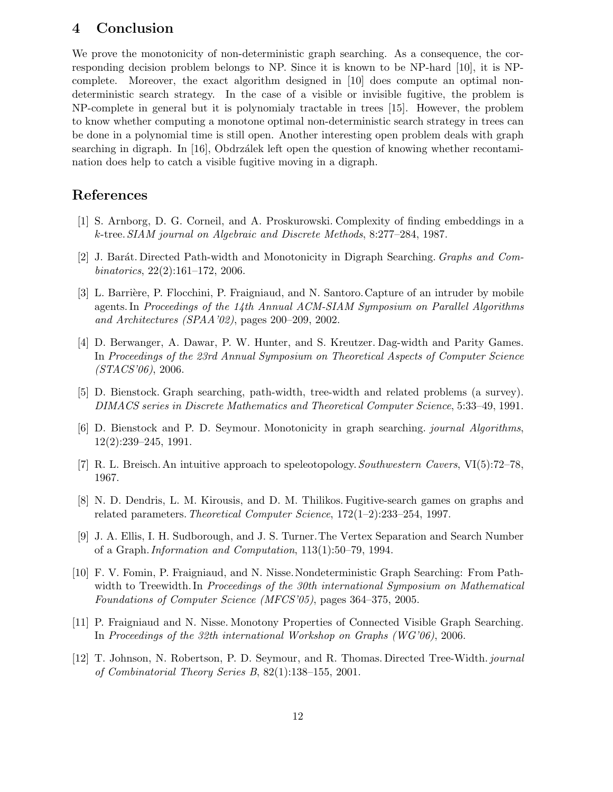# 4 Conclusion

We prove the monotonicity of non-deterministic graph searching. As a consequence, the corresponding decision problem belongs to NP. Since it is known to be NP-hard [10], it is NPcomplete. Moreover, the exact algorithm designed in [10] does compute an optimal nondeterministic search strategy. In the case of a visible or invisible fugitive, the problem is NP-complete in general but it is polynomialy tractable in trees [15]. However, the problem to know whether computing a monotone optimal non-deterministic search strategy in trees can be done in a polynomial time is still open. Another interesting open problem deals with graph searching in digraph. In  $[16]$ , Obdrzálek left open the question of knowing whether recontamination does help to catch a visible fugitive moving in a digraph.

# References

- [1] S. Arnborg, D. G. Corneil, and A. Proskurowski. Complexity of finding embeddings in a k-tree.SIAM journal on Algebraic and Discrete Methods, 8:277–284, 1987.
- [2] J. Barát. Directed Path-width and Monotonicity in Digraph Searching. *Graphs and Com*binatorics, 22(2):161–172, 2006.
- [3] L. Barrière, P. Flocchini, P. Fraigniaud, and N. Santoro. Capture of an intruder by mobile agents. In Proceedings of the 14th Annual ACM-SIAM Symposium on Parallel Algorithms and Architectures (SPAA'02), pages 200–209, 2002.
- [4] D. Berwanger, A. Dawar, P. W. Hunter, and S. Kreutzer. Dag-width and Parity Games. In Proceedings of the 23rd Annual Symposium on Theoretical Aspects of Computer Science  $(STACS'06)$ , 2006.
- [5] D. Bienstock. Graph searching, path-width, tree-width and related problems (a survey). DIMACS series in Discrete Mathematics and Theoretical Computer Science, 5:33–49, 1991.
- [6] D. Bienstock and P. D. Seymour. Monotonicity in graph searching. journal Algorithms, 12(2):239–245, 1991.
- [7] R. L. Breisch. An intuitive approach to speleotopology.Southwestern Cavers, VI(5):72–78, 1967.
- [8] N. D. Dendris, L. M. Kirousis, and D. M. Thilikos. Fugitive-search games on graphs and related parameters.Theoretical Computer Science, 172(1–2):233–254, 1997.
- [9] J. A. Ellis, I. H. Sudborough, and J. S. Turner.The Vertex Separation and Search Number of a Graph.Information and Computation, 113(1):50–79, 1994.
- [10] F. V. Fomin, P. Fraigniaud, and N. Nisse.Nondeterministic Graph Searching: From Pathwidth to Treewidth. In Proceedings of the 30th international Symposium on Mathematical Foundations of Computer Science (MFCS'05), pages 364–375, 2005.
- [11] P. Fraigniaud and N. Nisse. Monotony Properties of Connected Visible Graph Searching. In Proceedings of the 32th international Workshop on Graphs (WG'06), 2006.
- [12] T. Johnson, N. Robertson, P. D. Seymour, and R. Thomas. Directed Tree-Width. journal of Combinatorial Theory Series B, 82(1):138–155, 2001.